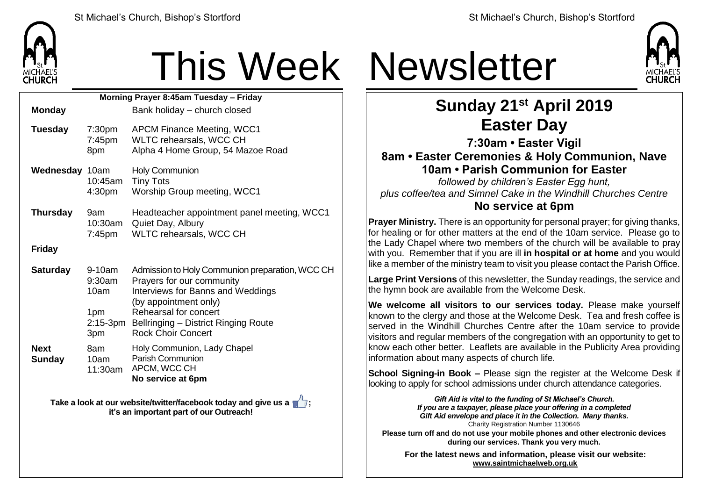

| Morning Prayer 8:45am Tuesday - Friday |                                           |                                                                                                                                                                                                                                                          |  |  |  |  |
|----------------------------------------|-------------------------------------------|----------------------------------------------------------------------------------------------------------------------------------------------------------------------------------------------------------------------------------------------------------|--|--|--|--|
| <b>Monday</b>                          |                                           | Bank holiday – church closed                                                                                                                                                                                                                             |  |  |  |  |
| <b>Tuesday</b>                         | 7:30 <sub>pm</sub><br>7:45pm<br>8pm       | <b>APCM Finance Meeting, WCC1</b><br>WLTC rehearsals, WCC CH<br>Alpha 4 Home Group, 54 Mazoe Road                                                                                                                                                        |  |  |  |  |
| Wednesday 10am                         | 10:45am<br>4:30pm                         | <b>Holy Communion</b><br><b>Tiny Tots</b><br>Worship Group meeting, WCC1                                                                                                                                                                                 |  |  |  |  |
| <b>Thursday</b>                        | 9am<br>10:30am<br>7:45pm                  | Headteacher appointment panel meeting, WCC1<br>Quiet Day, Albury<br>WLTC rehearsals, WCC CH                                                                                                                                                              |  |  |  |  |
| <b>Friday</b>                          |                                           |                                                                                                                                                                                                                                                          |  |  |  |  |
| <b>Saturday</b>                        | 9-10am<br>$9:30$ am<br>10am<br>1pm<br>3pm | Admission to Holy Communion preparation, WCC CH<br>Prayers for our community<br><b>Interviews for Banns and Weddings</b><br>(by appointment only)<br>Rehearsal for concert<br>2:15-3pm Bellringing - District Ringing Route<br><b>Rock Choir Concert</b> |  |  |  |  |
| <b>Next</b><br><b>Sunday</b>           | 8am<br>10am<br>11:30am                    | Holy Communion, Lady Chapel<br><b>Parish Communion</b><br>APCM, WCC CH<br>No service at 6pm                                                                                                                                                              |  |  |  |  |

**Take a look at our website/twitter/facebook today and give us a**  $\mathbb{Z}$ **; it's an important part of our Outreach!**





## **Sunday 21st April 2019 Easter Day**

**7:30am • Easter Vigil**

**8am • Easter Ceremonies & Holy Communion, Nave 10am • Parish Communion for Easter**

*followed by children's Easter Egg hunt, plus coffee/tea and Simnel Cake in the Windhill Churches Centre* **No service at 6pm**

**Prayer Ministry.** There is an opportunity for personal prayer; for giving thanks, for healing or for other matters at the end of the 10am service. Please go to the Lady Chapel where two members of the church will be available to pray with you. Remember that if you are ill **in hospital or at home** and you would like a member of the ministry team to visit you please contact the Parish Office.

**Large Print Versions** of this newsletter, the Sunday readings, the service and the hymn book are available from the Welcome Desk.

**We welcome all visitors to our services today.** Please make yourself known to the clergy and those at the Welcome Desk. Tea and fresh coffee is served in the Windhill Churches Centre after the 10am service to provide visitors and regular members of the congregation with an opportunity to get to know each other better. Leaflets are available in the Publicity Area providing information about many aspects of church life.

**School Signing-in Book –** Please sign the register at the Welcome Desk if looking to apply for school admissions under church attendance categories.

> *Gift Aid is vital to the funding of St Michael's Church. If you are a taxpayer, please place your offering in a completed Gift Aid envelope and place it in the Collection. Many thanks.* Charity Registration Number 1130646

**Please turn off and do not use your mobile phones and other electronic devices during our services. Thank you very much.**

**For the latest news and information, please visit our website: [www.saintmichaelweb.org.uk](http://www.saintmichaelweb.org.uk/)**